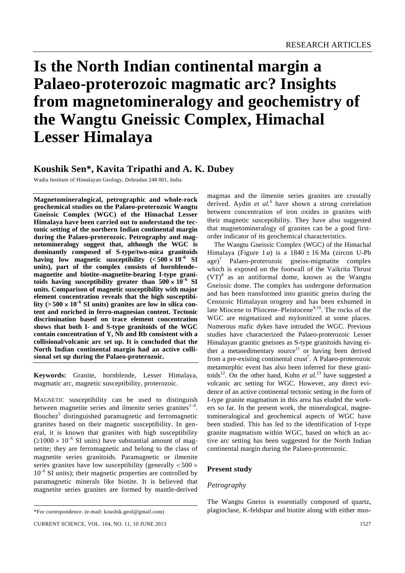# **Is the North Indian continental margin a Palaeo-proterozoic magmatic arc? Insights from magnetomineralogy and geochemistry of the Wangtu Gneissic Complex, Himachal Lesser Himalaya**

# **Koushik Sen\*, Kavita Tripathi and A. K. Dubey**

Wadia Institute of Himalayan Geology, Dehradun 248 001, India

**Magnetomineralogical, petrographic and whole-rock geochemical studies on the Palaeo-proterozoic Wangtu Gneissic Complex (WGC) of the Himachal Lesser Himalaya have been carried out to understand the tectonic setting of the northern Indian continental margin during the Palaeo-proterozoic. Petrography and magnetomineralogy suggest that, although the WGC is dominantly composed of S-type/two-mica granitoids**  having low magnetic susceptibility  $(<500 \times 10^{-6}$  SI **units), part of the complex consists of hornblende– magnetite and biotite–magnetite-bearing I-type grani**toids having susceptibility greater than  $500 \times 10^{-6}$  SI **units. Comparison of magnetic susceptibility with major element concentration reveals that the high susceptibi**lity  $(500 \times 10^{-6} \text{ SI units})$  granites are low in silica con**tent and enriched in ferro-magnesian content. Tectonic discrimination based on trace element concentration shows that both I- and S-type granitoids of the WGC contain concentration of Y, Nb and Rb consistent with a collisional/volcanic arc set up. It is concluded that the North Indian continental margin had an active collisional set up during the Palaeo-proterozoic.** 

**Keywords:** Granite, hornblende, Lesser Himalaya, magmatic arc, magnetic susceptibility, proterozoic.

MAGNETIC susceptibility can be used to distinguish between magnetite series and ilmenite series granites $1-4$ . Bouchez<sup>5</sup> distinguished paramagnetic and ferromagnetic granites based on their magnetic susceptibility. In general, it is known that granites with high susceptibility  $(21000 \times 10^{-6}$  SI units) have substantial amount of magnetite; they are ferromagnetic and belong to the class of magnetite series granitoids. Paramagnetic or ilmenite series granites have low susceptibility (generally  $< 500 \times$  $10^{-6}$  SI units); their magnetic properties are controlled by paramagnetic minerals like biotite. It is believed that magnetite series granites are formed by mantle-derived

magmas and the ilmenite series granites are crustally derived. Aydin *et al.*<sup>6</sup> have shown a strong correlation between concentration of iron oxides in granites with their magnetic susceptibility. They have also suggested that magnetomineralogy of granites can be a good firstorder indicator of its geochemical characteristics.

 The Wangtu Gneissic Complex (WGC) of the Himachal Himalaya (Figure 1*a*) is a  $1840 \pm 16$  Ma (zircon U-Pb age)<sup>7</sup> Palaeo-proterozoic gneiss-migmatite complex which is exposed on the footwall of the Vaikrita Thrust  $(VT)^8$  as an antiformal dome, known as the Wangtu Gneissic dome. The complex has undergone deformation and has been transformed into granitic gneiss during the Cenozoic Himalayan orogeny and has been exhumed in late Miocene to Pliocene–Pleistocene $9,10$ . The rocks of the WGC are migmatized and mylonitized at some places. Numerous mafic dykes have intruded the WGC. Previous studies have characterized the Palaeo-proterozoic Lesser Himalayan granitic gneisses as S-type granitoids having either a metasedimentary source<sup>11</sup> or having been derived from a pre-existing continental crust<sup>7</sup>. A Palaeo-proterozoic metamorphic event has also been inferred for these granitoids<sup>12</sup>. On the other hand, Kohn *et al.*<sup>13</sup> have suggested a volcanic arc setting for WGC. However, any direct evidence of an active continental tectonic setting in the form of I-type granite magmatism in this area has eluded the workers so far. In the present work, the mineralogical, magnetomineralogical and geochemical aspects of WGC have been studied. This has led to the identification of I-type granite magmatism within WGC, based on which an active arc setting has been suggested for the North Indian continental margin during the Palaeo-proterozoic.

## **Present study**

## *Petrography*

The Wangtu Gneiss is essentially composed of quartz, plagioclase, K-feldspar and biotite along with either mus-

<sup>\*</sup>For correspondence. (e-mail: koushik.geol@gmail.com)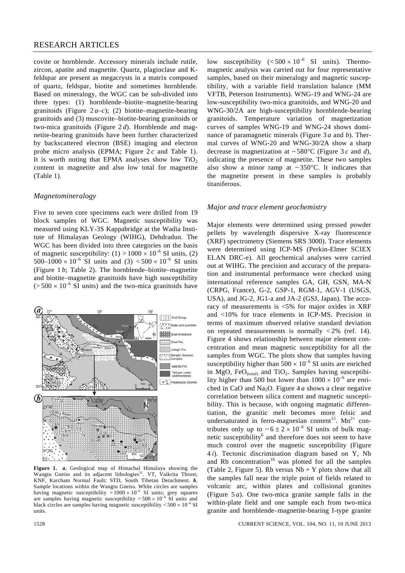## RESEARCH ARTICLES

covite or hornblende. Accessory minerals include rutile, zircon, apatite and magnetite. Quartz, plagioclase and Kfeldspar are present as megacrysts in a matrix composed of quartz, feldspar, biotite and sometimes hornblende. Based on mineralogy, the WGC can be sub-divided into three types: (1) hornblende–biotite–magnetite-bearing granitoids (Figure  $2a-c$ ); (2) biotite–magnetite-bearing granitoids and (3) muscovite–biotite-bearing granitoids or two-mica granitoids (Figure 2 *d*). Hornblende and magnetite-bearing granitoids have been further characterized by backscattered electron (BSE) imaging and electron probe micro analysis (EPMA; Figure 2 *c* and Table 1). It is worth noting that EPMA analyses show low  $TiO<sub>2</sub>$ content in magnetite and also low total for magnetite (Table 1).

#### *Magnetomineralogy*

Five to seven core specimens each were drilled from 19 block samples of WGC. Magnetic susceptibility was measured using KLY-3S Kappabridge at the Wadia Institute of Himalayan Geology (WIHG), Dehdradun. The WGC has been divided into three categories on the basis of magnetic susceptibility:  $(1) > 1000 \times 10^{-6}$  SI units,  $(2)$ 500–1000  $\times$  10<sup>-6</sup> SI units and (3)  $<$  500  $\times$  10<sup>-6</sup> SI units (Figure 1 *b*; Table 2). The hornblende–biotite–magnetite and biotite–magnetite granitoids have high susceptibility  $(5500 \times 10^{-6}$  SI units) and the two-mica granitoids have



**Figure 1.** *a*, Geological map of Himachal Himalaya showing the Wangtu Gneiss and its adjacent lithologies<sup>31</sup>. VT, Vaikrita Thrust; KNF, Karcham Normal Fault; STD, South Tibetan Detachment. *b*, Sample locations within the Wangtu Gneiss. White circles are samples having magnetic susceptibility  $> 1000 \times 10^{-6}$  SI units; grey squares are samples having magnetic susceptibility  $> 500 \times 10^{-6}$  SI units and black circles are samples having magnetic susceptibility  $<\!500\times10^{-6}\,{\rm SI}$ units.

low susceptibility  $(<500 \times 10^{-6}$  SI units). Thermomagnetic analysis was carried out for four representative samples, based on their mineralogy and magnetic susceptibility, with a variable field translation balance (MM VFTB, Peterson Instruments). WNG-19 and WNG-24 are low-susceptibility two-mica granitoids, and WNG-20 and WNG-30/2A are high-susceptibility hornblende-bearing granitoids. Temperature variation of magnetization curves of samples WNG-19 and WNG-24 shows dominance of paramagnetic minerals (Figure 3 *a* and *b*). Thermal curves of WNG-20 and WNG-30/2A show a sharp decrease in magnetization at ~ 580°C (Figure 3 *c* and *d*), indicating the presence of magnetite. These two samples also show a minor ramp at  $\sim 350^{\circ}$ C. It indicates that the magnetite present in these samples is probably titaniferous.

#### *Major and trace element geochemistry*

Major elements were determined using pressed powder pellets by wavelength dispersive X-ray fluorescence (XRF) spectrometry (Siemens SRS 3000). Trace elements were determined using ICP-MS (Perkin-Elmer SCIEX ELAN DRC-e). All geochemical analyses were carried out at WIHG. The precision and accuracy of the preparation and instrumental performance were checked using international reference samples GA, GH, GSN, MA-N (CRPG, France), G-2, GSP-1, RGM-1, AGV-1 (USGS, USA), and JG-2, JG1-a and JA-2 (GSJ, Japan). The accuracy of measurements is <5% for major oxides in XRF and <10% for trace elements in ICP-MS. Precision in terms of maximum observed relative standard deviation on repeated measurements is normally  $\langle 2\% \rangle$  (ref. 14). Figure 4 shows relationship between major element concentration and mean magnetic susceptibility for all the samples from WGC. The plots show that samples having susceptibility higher than  $500 \times 10^{-6}$  SI units are enriched in MgO, FeO $_{(total)}$  and TiO<sub>2</sub>. Samples having susceptibility higher than 500 but lower than  $1000 \times 10^{-6}$  are enriched in CaO and Na<sub>2</sub>O. Figure  $4a$  shows a clear negative correlation between silica content and magnetic susceptibility. This is because, with ongoing magmatic differentiation, the granitic melt becomes more felsic and undersaturated in ferro-magnesian content<sup>15</sup>. Mn<sup>2+</sup> contributes only up to  $\sim 6 \pm 2 \times 10^{-6}$  SI units of bulk magnetic susceptibility<sup>6</sup> and therefore does not seem to have much control over the magnetic susceptibility (Figure 4 *i*). Tectonic discrimination diagram based on Y, Nb and Rb concentration<sup>16</sup> was plotted for all the samples (Table 2, Figure 5). Rb versus  $Nb + Y$  plots show that all the samples fall near the triple point of fields related to volcanic arc, within plates and collisional granites (Figure 5 *a*). One two-mica granite sample falls in the within-plate field and one sample each from two-mica granite and hornblende–magnetite-bearing I-type granite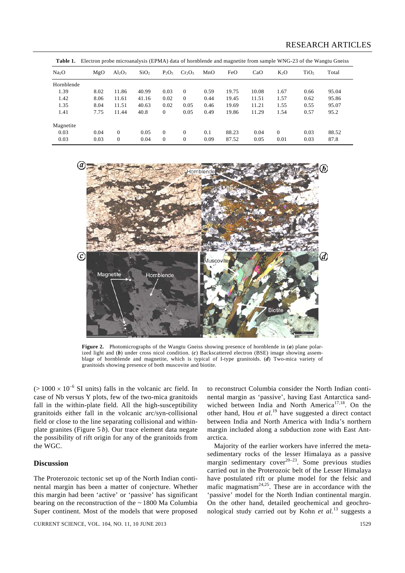| Table 1.          |      |           |                  |          |           |      |       |       |          |                  | Electron probe microanalysis (EPMA) data of hornblende and magnetite from sample WNG-23 of the Wangtu Gneiss |
|-------------------|------|-----------|------------------|----------|-----------|------|-------|-------|----------|------------------|--------------------------------------------------------------------------------------------------------------|
| Na <sub>2</sub> O | MgO  | $Al_2O_3$ | SiO <sub>2</sub> | $P_2O_5$ | $Cr_2O_3$ | MnO  | FeO   | CaO   | $K_2O$   | TiO <sub>2</sub> | Total                                                                                                        |
| Hornblende        |      |           |                  |          |           |      |       |       |          |                  |                                                                                                              |
| 1.39              | 8.02 | 11.86     | 40.99            | 0.03     | $\Omega$  | 0.59 | 19.75 | 10.08 | 1.67     | 0.66             | 95.04                                                                                                        |
| 1.42              | 8.06 | 11.61     | 41.16            | 0.02     | $\Omega$  | 0.44 | 19.45 | 11.51 | 1.57     | 0.62             | 95.86                                                                                                        |
| 1.35              | 8.04 | 11.51     | 40.63            | 0.02     | 0.05      | 0.46 | 19.69 | 11.21 | 1.55     | 0.55             | 95.07                                                                                                        |
| 1.41              | 7.75 | 11.44     | 40.8             | $\Omega$ | 0.05      | 0.49 | 19.86 | 11.29 | 1.54     | 0.57             | 95.2                                                                                                         |
| Magnetite         |      |           |                  |          |           |      |       |       |          |                  |                                                                                                              |
| 0.03              | 0.04 | $\Omega$  | 0.05             | $\Omega$ | $\Omega$  | 0.1  | 88.23 | 0.04  | $\Omega$ | 0.03             | 88.52                                                                                                        |
| 0.03              | 0.03 | $\theta$  | 0.04             | $\Omega$ | $\Omega$  | 0.09 | 87.52 | 0.05  | 0.01     | 0.03             | 87.8                                                                                                         |



**Figure 2.** Photomicrographs of the Wangtu Gneiss showing presence of hornblende in (*a*) plane polarized light and (*b*) under cross nicol condition. (*c*) Backscattered electron (BSE) image showing assemblage of hornblende and magnetite, which is typical of I-type granitoids. (*d*) Two-mica variety of granitoids showing presence of both muscovite and biotite.

 $(>1000 \times 10^{-6}$  SI units) falls in the volcanic arc field. In case of Nb versus Y plots, few of the two-mica granitoids fall in the within-plate field. All the high-susceptibility granitoids either fall in the volcanic arc/syn-collisional field or close to the line separating collisional and withinplate granites (Figure 5 *b*). Our trace element data negate the possibility of rift origin for any of the granitoids from the WGC.

### **Discussion**

The Proterozoic tectonic set up of the North Indian continental margin has been a matter of conjecture. Whether this margin had been 'active' or 'passive' has significant bearing on the reconstruction of the  $\sim$  1800 Ma Columbia Super continent. Most of the models that were proposed

CURRENT SCIENCE, VOL. 104, NO. 11, 10 JUNE 2013 1529

to reconstruct Columbia consider the North Indian continental margin as 'passive', having East Antarctica sandwiched between India and North America<sup>17,18</sup>. On the other hand, Hou *et al.*<sup>19</sup> have suggested a direct contact between India and North America with India's northern margin included along a subduction zone with East Antarctica.

 Majority of the earlier workers have inferred the metasedimentary rocks of the lesser Himalaya as a passive margin sedimentary cover $20-23$ . Some previous studies carried out in the Proterozoic belt of the Lesser Himalaya have postulated rift or plume model for the felsic and mafic magmatism $^{24,25}$ . These are in accordance with the 'passive' model for the North Indian continental margin. On the other hand, detailed geochemical and geochronological study carried out by Kohn *et al.*13 suggests a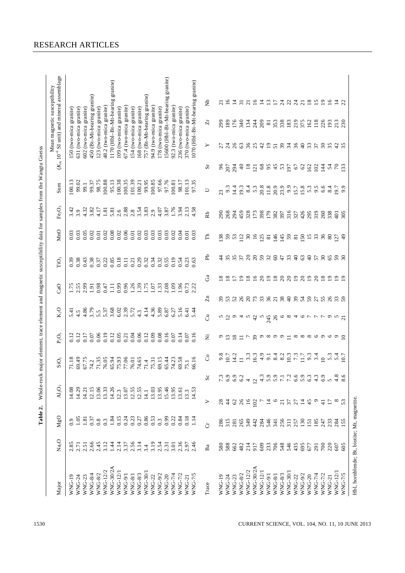| Major            | Na <sub>2</sub> O          | MgO                                                       | AI <sub>2</sub> O <sub>3</sub> |                                 | SiO <sub>2</sub>                                                                                                                                                                                                                                                                                                                                                                                                                                                                    | $\rm P_2O_5$                    | K <sub>2</sub> O | CaO                        |    | TiO <sub>2</sub> | MnO                                 | Fe <sub>2</sub> O <sub>3</sub> | SumS                                       |                 | $(Km 10-6$ SI unit) and mineral assemblage<br>Mean magnetic susceptibility |                  |                 |
|------------------|----------------------------|-----------------------------------------------------------|--------------------------------|---------------------------------|-------------------------------------------------------------------------------------------------------------------------------------------------------------------------------------------------------------------------------------------------------------------------------------------------------------------------------------------------------------------------------------------------------------------------------------------------------------------------------------|---------------------------------|------------------|----------------------------|----|------------------|-------------------------------------|--------------------------------|--------------------------------------------|-----------------|----------------------------------------------------------------------------|------------------|-----------------|
| <b>WNG-19</b>    |                            | 0.9                                                       | 14.08                          |                                 | 71.18                                                                                                                                                                                                                                                                                                                                                                                                                                                                               | 0.12                            |                  |                            |    | 0.39             | 0.03                                | 3.42                           | 100.13                                     |                 | 150 (two-mica granite)                                                     |                  |                 |
| WNG-24           |                            | 105                                                       | 14.29                          |                                 | 69.49                                                                                                                                                                                                                                                                                                                                                                                                                                                                               | 0.12                            | $5.41$<br>4.5    | $1.75$<br>$2.59$<br>$2.99$ |    | 0.38             | 0.03                                | 3.9                            | 99.02                                      |                 | 631 (two-mica granite)                                                     |                  |                 |
| <b>WNG-23</b>    |                            | 1.81                                                      | 14.21                          |                                 | 67.75                                                                                                                                                                                                                                                                                                                                                                                                                                                                               | 0.17                            | 4.86             |                            |    | 0.43             | 0.05                                | 4.32                           | 99.1                                       |                 | 602 (two-mica granite)                                                     |                  |                 |
| WNG-8/4          |                            |                                                           | 12.15                          |                                 | 74.2                                                                                                                                                                                                                                                                                                                                                                                                                                                                                | 0.07                            | 3.79             |                            |    | 0.38             | 0.02                                | 3.82                           | 99.37                                      |                 | 450 (Bt-Mt-bearing granite)                                                |                  |                 |
| <b>WNG-8/2</b>   |                            |                                                           | 13.06                          |                                 | 71.35                                                                                                                                                                                                                                                                                                                                                                                                                                                                               | 0.06                            | 5.5              | 1.91<br>0.98               |    | 0.37             | 0.01                                | 4.17                           | 98.75                                      |                 | 123 (two-mica granite)                                                     |                  |                 |
| WNG-12/2         |                            |                                                           | 13.33                          |                                 | 76.05                                                                                                                                                                                                                                                                                                                                                                                                                                                                               | 0.19                            |                  | 0.47                       |    | 0.22             | 0.02                                | 1.81                           | 100.88                                     |                 | 48.2 (two-mica granite)                                                    |                  |                 |
| WNG-30/2A        |                            | $\begin{array}{c} 0.37 \\ 0.8 \\ 0.3 \\ 1.84 \end{array}$ | 14.26                          |                                 | 65.94                                                                                                                                                                                                                                                                                                                                                                                                                                                                               | 0.12                            | 5.37<br>3.68     | $\Xi$                      |    | 0.85             | 0.08                                | 5.81                           | 95.13                                      |                 | 1170 (Hbl-Bt-Mt-bearing granite)                                           |                  |                 |
| WNG-12/1         |                            | 0.15                                                      | 12.3                           |                                 | 75.93                                                                                                                                                                                                                                                                                                                                                                                                                                                                               | 0.05                            | 6.02             |                            |    | 0.18             |                                     | 2.6                            | 100.38                                     |                 | 109 (two-mica granite)                                                     |                  |                 |
| WNG-9/1          |                            | 0.24                                                      | 13.07                          |                                 | 77.06                                                                                                                                                                                                                                                                                                                                                                                                                                                                               | 0.21                            | 2.39             |                            |    | 0.11             | 0.02<br>0.05<br>0.01                | $2.88$<br>$2.8$<br>$3.54$      | 100.35                                     |                 | 67.4 (two-mica granite)                                                    |                  |                 |
| <b>WNG-8/1</b>   |                            | 0.23                                                      |                                |                                 | 76.01                                                                                                                                                                                                                                                                                                                                                                                                                                                                               | 0.04                            |                  |                            |    | 0.21             |                                     |                                | 101.39                                     |                 | 154 (two-mica granite)                                                     |                  |                 |
| <b>WNG-8/3</b>   |                            | $0.27$<br>$0.86$<br>$0.53$                                | $12.55$<br>$12.55$             |                                 | 74.65                                                                                                                                                                                                                                                                                                                                                                                                                                                                               | 0.06                            | $5.72$<br>4.3    |                            |    | 0.29             |                                     |                                | 100.21                                     |                 | 168 (two-mica granite)                                                     |                  |                 |
| WNG-30/1         |                            |                                                           | 14.1                           |                                 | $71.4$                                                                                                                                                                                                                                                                                                                                                                                                                                                                              | 0.12                            | 4.14             |                            |    | 0.32             | 0.03                                | $3.83$<br>$2.9$                | 99.95                                      |                 | 757 (Bt-Mt-bearing granite)                                                |                  |                 |
| <b>WNG-22</b>    |                            |                                                           | 13.03                          |                                 | 75.31                                                                                                                                                                                                                                                                                                                                                                                                                                                                               | 0.09                            | 4.36             |                            |    | 0.34             |                                     |                                | 100.85                                     |                 | 94.9 (two-mica granite)                                                    |                  |                 |
| <b>WNG-9/2</b>   |                            | $0.\overline{3}$                                          | 13.95                          |                                 | 69.15                                                                                                                                                                                                                                                                                                                                                                                                                                                                               | 0.08                            | 5.89             | 1.33                       |    | 0.32             | 0.03                                | 4.07                           | 97.66                                      |                 | 178 (two-mica granite)                                                     |                  |                 |
| <b>WNG-20</b>    |                            | 0.99                                                      | 15.46                          |                                 | 65.44                                                                                                                                                                                                                                                                                                                                                                                                                                                                               | 0.16                            | 6.87             | 2.08                       |    | 0.55             | 0.03                                |                                | 97.76                                      |                 | 15600 (Hbl-Bt-Mt-bearing granite)                                          |                  |                 |
| WNG-7/4          |                            | 0.22                                                      | 13.95                          |                                 | 74.23                                                                                                                                                                                                                                                                                                                                                                                                                                                                               | 0.07                            | 6.27             | $\frac{8}{2}$              |    | 0.19             | 0.02                                | $3.87$<br>$1.76$<br>$3.94$     | 100.81                                     |                 | 92.3 (two-mica granite)                                                    |                  |                 |
| WNG-7/2          |                            | 0.84                                                      |                                |                                 | 69.58                                                                                                                                                                                                                                                                                                                                                                                                                                                                               | 0.14                            | 5.16             | 96                         |    | 0.54             | 0.04                                |                                | 98.17                                      |                 | 236 (two-mica granite)                                                     |                  |                 |
| <b>WNG-21</b>    |                            | 0.18                                                      |                                |                                 | 75.1                                                                                                                                                                                                                                                                                                                                                                                                                                                                                | 0.07                            | 6.41             | 0.73                       |    | 0.23             | 0.01                                | 2.13                           | 101.13                                     |                 | 370 (two-mica granite)                                                     |                  |                 |
| <b>NNG-7/5</b>   | $3.36$<br>$2.36$<br>$2.46$ | 1.14                                                      | $\frac{13.61}{13.3}$           |                                 | 66.16                                                                                                                                                                                                                                                                                                                                                                                                                                                                               | 0.16                            | 5.44             | 2.22                       |    | 0.63             | 0.03                                | 4.58                           | 97.35                                      |                 | 1070 (Hbl-Bt-Mt-bearing granite)                                           |                  |                 |
| Trace            | Ba                         | ö                                                         | >                              | $S_{\rm C}$                     | S                                                                                                                                                                                                                                                                                                                                                                                                                                                                                   | Ż                               | ්                | $\overline{z}$             | Ga | Ъp               | $\overline{\Gamma}$                 | Ŕb                             | $\cup$                                     | 5r              | ≻                                                                          | $\overline{Z}$ r | $\hat{z}$       |
| <b>WNG-19</b>    | 580                        | 286                                                       |                                |                                 | $9.8$<br>10.7                                                                                                                                                                                                                                                                                                                                                                                                                                                                       | $\circ$                         |                  |                            |    |                  |                                     | 290                            | $23^{9.3}$                                 | 96              | 21                                                                         | 299              |                 |
| WNG-24           |                            |                                                           | $\ddot{4}$                     | $\omega$ $\omega$               |                                                                                                                                                                                                                                                                                                                                                                                                                                                                                     | $\bar{\omega}$                  |                  |                            |    |                  |                                     |                                |                                            | 207             |                                                                            |                  | $\frac{21}{16}$ |
| <b>WNG-23</b>    |                            | $\frac{315}{281}$                                         | $\mathcal{L}$                  | $\circ$ $\sim$<br>$\circ$       |                                                                                                                                                                                                                                                                                                                                                                                                                                                                                     | $\overline{8}$                  |                  |                            |    |                  |                                     | 268<br>294                     |                                            | 294             | 78                                                                         |                  |                 |
| <b>WNG-8/2</b>   |                            |                                                           |                                | $\circ$                         |                                                                                                                                                                                                                                                                                                                                                                                                                                                                                     |                                 |                  |                            |    |                  |                                     |                                |                                            | $\theta$        |                                                                            |                  |                 |
| WNG-12/2         | 882314                     | 265                                                       |                                | $\overline{4}$                  | $\begin{array}{l} 1 \\ 4 \\ 1 \\ 1 \\ \end{array} \end{array} \begin{array}{l} \begin{array}{l} 1 \\ 1 \\ 1 \\ 1 \\ 1 \\ \end{array} \end{array} \begin{array}{l} \begin{array}{l} 1 \\ 1 \\ 1 \\ 1 \\ 1 \\ \end{array} \end{array} \begin{array}{l} \begin{array}{l} 1 \\ 1 \\ 1 \\ 1 \\ 1 \\ \end{array} \end{array} \begin{array}{l} \begin{array}{l} 1 \\ 1 \\ 1 \\ 1 \\ 1 \\ \end{array} \end{array} \begin{array}{l} \begin{array}{l} 1 \\ 1 \\ 1 \\ 1 \\ 1 \\ \end{array} \$ | $\equiv$ $\sim$                 | n G o 4 n G      |                            |    |                  | g 8 8 5 4 5 5 6 7 8 9 7 8 9 7 8 9 7 |                                | $198508800$<br>$1985080$ $199500$ $199500$ |                 | $@RRQ@RRR@RRQ@R$                                                           |                  | Haarnanaannan   |
| <b>WNG-30/2A</b> | 917<br>609                 | 442                                                       | $16$<br>102                    | 12                              |                                                                                                                                                                                                                                                                                                                                                                                                                                                                                     | 39                              |                  |                            |    |                  |                                     |                                |                                            | 27.88495        |                                                                            |                  |                 |
| WNG-12/1         |                            | 284                                                       |                                |                                 |                                                                                                                                                                                                                                                                                                                                                                                                                                                                                     |                                 | $545$<br>$245$   |                            |    |                  |                                     |                                |                                            |                 |                                                                            |                  |                 |
| <b>WNG-9/1</b>   | 233<br>706<br>548          | 546                                                       | $\overline{1}$                 | m の の 1 N 6 の m m の<br>せいこててんこと |                                                                                                                                                                                                                                                                                                                                                                                                                                                                                     | $\circ$ $\circ$ $\circ$ $\circ$ |                  |                            |    |                  |                                     |                                |                                            |                 |                                                                            |                  |                 |
| <b>WNG-8/1</b>   |                            | 341                                                       |                                |                                 |                                                                                                                                                                                                                                                                                                                                                                                                                                                                                     |                                 |                  |                            |    |                  |                                     |                                |                                            |                 |                                                                            |                  |                 |
| <b>WNG-8/3</b>   |                            | 256                                                       | $\overline{c}$                 |                                 |                                                                                                                                                                                                                                                                                                                                                                                                                                                                                     |                                 | $\circ$          |                            |    |                  |                                     |                                |                                            |                 |                                                                            |                  |                 |
| WNG-30/1         | 546<br>435                 | $\overline{311}$                                          | 57                             |                                 |                                                                                                                                                                                                                                                                                                                                                                                                                                                                                     | $\equiv$                        | $\infty$ 4       |                            |    |                  |                                     |                                |                                            |                 |                                                                            |                  |                 |
| <b>WNG-22</b>    |                            | 257                                                       | 27                             |                                 |                                                                                                                                                                                                                                                                                                                                                                                                                                                                                     |                                 |                  |                            |    |                  |                                     |                                |                                            |                 |                                                                            |                  |                 |
| WNG-9/2          | 695                        | 130                                                       | $\overline{4}$                 |                                 |                                                                                                                                                                                                                                                                                                                                                                                                                                                                                     | $\infty$ $\infty$ $\infty$      | $\sigma$ $\sim$  |                            |    |                  |                                     |                                | $9.58$<br>$15.8$                           | 2289            |                                                                            |                  |                 |
| <b>WNG-20</b>    | 677                        | 151                                                       | 45                             |                                 |                                                                                                                                                                                                                                                                                                                                                                                                                                                                                     |                                 |                  |                            |    |                  |                                     |                                | 5.3                                        |                 |                                                                            |                  |                 |
| WNG-7/4          | 291                        | 185                                                       | $\circ$                        | $4.$                            |                                                                                                                                                                                                                                                                                                                                                                                                                                                                                     | $\circ$ $\circ$                 |                  |                            |    |                  |                                     | 319                            | 9.5                                        |                 |                                                                            |                  |                 |
| WNG-7/2          | 700                        | 247                                                       | $\frac{1}{4}$                  | $\sigma$ $\sim$                 |                                                                                                                                                                                                                                                                                                                                                                                                                                                                                     |                                 |                  |                            |    |                  |                                     | 260                            | 6.6                                        | $\overline{14}$ | 378                                                                        |                  |                 |
| <b>WNG-21</b>    | 220                        | 233                                                       |                                |                                 |                                                                                                                                                                                                                                                                                                                                                                                                                                                                                     | $\circ$                         | $9 - 5$          |                            |    |                  |                                     | 338                            | 8.4                                        | 54              | 354.8                                                                      | 193              | $\overline{16}$ |
| WNG-12/1         | 607                        | 284                                                       |                                | $\overline{4}$                  | 5.4                                                                                                                                                                                                                                                                                                                                                                                                                                                                                 | $\circ$                         |                  |                            |    |                  |                                     | $\overline{5}$                 | .61                                        |                 |                                                                            | 213              | $\frac{14}{22}$ |
| WNG-7/5          | 605                        | 155                                                       | 53                             | $\infty$ $\infty$               |                                                                                                                                                                                                                                                                                                                                                                                                                                                                                     | $\supseteq$                     |                  |                            |    |                  | $\frac{4}{9}$                       | 305                            |                                            | $\overline{3}$  |                                                                            | 230              |                 |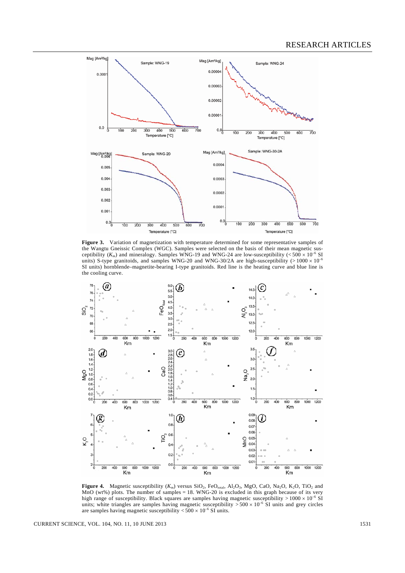

Figure 3. Variation of magnetization with temperature determined for some representative samples of the Wangtu Gneissic Complex (WGC). Samples were selected on the basis of their mean magnetic susceptibility  $(K_m)$  and mineralogy. Samples WNG-19 and WNG-24 are low-susceptibility ( $\lt 500 \times 10^{-6}$  SI units) S-type granitoids, and samples WNG-20 and WNG-30/2A are high-susceptibility ( $> 1000 \times 10^{-6}$ SI units) hornblende–magnetite-bearing I-type granitoids. Red line is the heating curve and blue line is the cooling curve.



**Figure 4.** Magnetic susceptibility  $(K_m)$  versus  $SiO_2$ ,  $FeO_{total}$ ,  $Al_2O_3$ , MgO, CaO, Na<sub>2</sub>O, K<sub>2</sub>O, TiO<sub>2</sub> and MnO (wt%) plots. The number of samples  $= 18$ . WNG-20 is excluded in this graph because of its very high range of susceptibility. Black squares are samples having magnetic susceptibility  $> 1000 \times 10^{-6}$  SI units; white triangles are samples having magnetic susceptibility  $> 500 \times 10^{-6}$  SI units and grey circles are samples having magnetic susceptibility  $<$  500  $\times$  10<sup>-6</sup> SI units.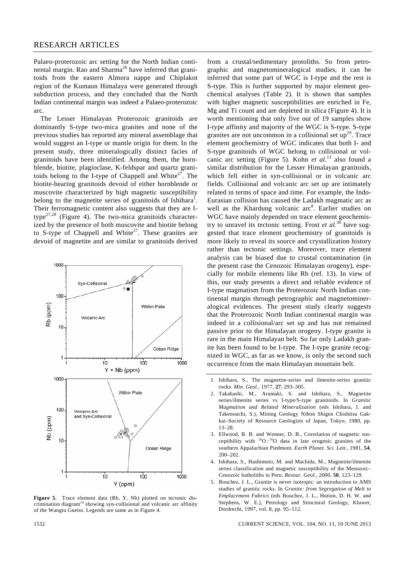Palaeo-proterozoic arc setting for the North Indian continental margin. Rao and Sharma<sup>26</sup> have inferred that granitoids from the eastern Almora nappe and Chiplakot region of the Kumaun Himalaya were generated through subduction process, and they concluded that the North Indian continental margin was indeed a Palaeo-proterozoic arc.

 The Lesser Himalayan Proterozoic granitoids are dominantly S-type two-mica granites and none of the previous studies has reported any mineral assemblage that would suggest an I-type or mantle origin for them. In the present study, three mineralogically distinct facies of granitoids have been identified. Among them, the hornblende, biotite, plagioclase, K-feldspar and quartz granitoids belong to the I-type of Chappell and White<sup>27</sup>. The biotite-bearing granitoids devoid of either hornblende or muscovite characterized by high magnetic susceptibility belong to the magnetite series of granitoids of Ishihara<sup>1</sup>. Their ferromagnetic content also suggests that they are Itype $^{27,28}$  (Figure 4). The two-mica granitoids characterized by the presence of both muscovite and biotite belong to S-type of Chappell and White<sup>27</sup>. These granites are devoid of magnetite and are similar to granitoids derived



Figure 5. Trace element data (Rb, Y, Nb) plotted on tectonic discrimination diagram<sup>14</sup> showing syn-collisional and volcanic arc affinity of the Wangtu Gneiss. Legends are same as in Figure 4.

from a crustal/sedimentary protoliths. So from petrographic and magnetomineralogical studies, it can be inferred that some part of WGC is I-type and the rest is S-type. This is further supported by major element geochemical analyses (Table 2). It is shown that samples with higher magnetic susceptibilities are enriched in Fe, Mg and Ti count and are depleted in silica (Figure 4). It is worth mentioning that only five out of 19 samples show I-type affinity and majority of the WGC is S-type. S-type granites are not uncommon in a collisional set  $up^{29}$ . Trace element geochemistry of WGC indicates that both I- and S-type granitoids of WGC belong to collisional or volcanic arc setting (Figure 5). Kohn *et al.*13 also found a similar distribution for the Lesser Himalayan granitoids, which fell either in syn-collisional or in volcanic arc fields. Collisional and volcanic arc set up are intimately related in terms of space and time. For example, the Indo-Eurasian collision has caused the Ladakh magmatic arc as well as the Khardung volcanic arc<sup>8</sup>. Earlier studies on WGC have mainly depended on trace element geochemistry to unravel its tectonic setting. Frost  $et al.^{30}$  have suggested that trace element geochemistry of granitoids is more likely to reveal its source and crystallization history rather than tectonic settings. Moreover, trace element analysis can be biased due to crustal contamination (in the present case the Cenozoic Himalayan orogeny), especially for mobile elements like Rb (ref. 13). In view of this, our study presents a direct and reliable evidence of I-type magmatism from the Proterozoic North Indian continental margin through petrographic and magnetomineralogical evidences. The present study clearly suggests that the Proterozoic North Indian continental margin was indeed in a collisional/arc set up and has not remained passive prior to the Himalayan orogeny. I-type granite is rare in the main Himalayan belt. So far only Ladakh granite has been found to be I-type. The I-type granite recognized in WGC, as far as we know, is only the second such occurrence from the main Himalayan mountain belt.

- 3. Ellwood, B. B. and Wenner, D. B., Correlation of magnetic susceptibility with  $^{18}O$ :  $^{16}O$  data in late orogenic granites of the southern Appalachian Piedmont. *Earth Planet. Sci. Lett.*, 1981, **54**, 200–202.
- 4. Ishihara, S., Hashimoto, M. and Machida, M., Magnetite/ilmenite series classification and magnetic susceptibility of the Mesozoic– Cenozoic batholiths in Peru. *Resour. Geol.*, 2000, **50**, 123–129.
- 5. Bouchez, J. L., Granite is never isotropic: an introduction to AMS studies of granitic rocks. In *Granite: from Segregation of Melt to Emplacement Fabrics* (eds Bouchez, J. L., Hutton, D. H. W. and Stephens, W. E.), Petrology and Structural Geology, Kluwer, Dordrecht, 1997, vol. 8, pp. 95–112.

<sup>1.</sup> Ishihara, S., The magnetite-series and ilmenite-series granitic rocks. *Min. Geol.*, 1977, **27**, 293–305.

<sup>2.</sup> Takahashi, M., Aramaki, S. and Ishihara, S., Magnetite series/ilmenite series vs I-type/S-type granitoids. In *Granitic Magmatism and Related Mineralization* (eds Ishihara, I. and Takenouchi, S.), Mining Geology Nihon Shigen Chishitsu Gakkai–Society of Resource Geologists of Japan, Tokyo, 1980, pp. 13–28.